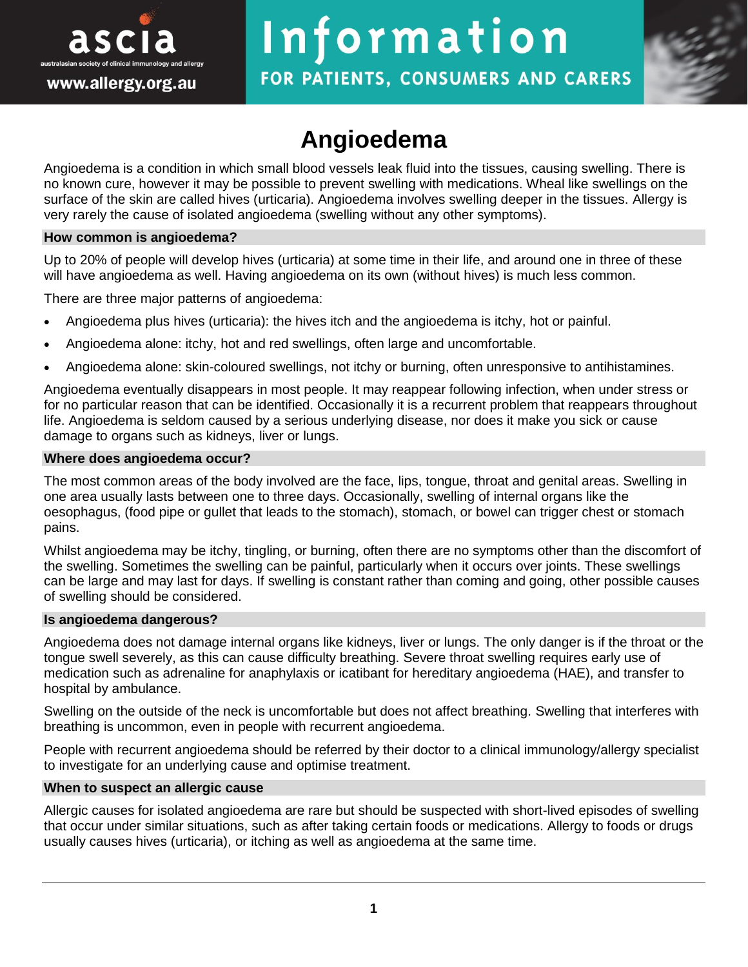

# Information

FOR PATIENTS, CONSUMERS AND CARERS

# **Angioedema**

Angioedema is a condition in which small blood vessels leak fluid into the tissues, causing swelling. There is no known cure, however it may be possible to prevent swelling with medications. Wheal like swellings on the surface of the skin are called hives (urticaria). Angioedema involves swelling deeper in the tissues. Allergy is very rarely the cause of isolated angioedema (swelling without any other symptoms).

#### **How common is angioedema?**

Up to 20% of people will develop hives (urticaria) at some time in their life, and around one in three of these will have angioedema as well. Having angioedema on its own (without hives) is much less common.

There are three major patterns of angioedema:

- Angioedema plus hives (urticaria): the hives itch and the angioedema is itchy, hot or painful.
- Angioedema alone: itchy, hot and red swellings, often large and uncomfortable.
- Angioedema alone: skin-coloured swellings, not itchy or burning, often unresponsive to antihistamines.

Angioedema eventually disappears in most people. It may reappear following infection, when under stress or for no particular reason that can be identified. Occasionally it is a recurrent problem that reappears throughout life. Angioedema is seldom caused by a serious underlying disease, nor does it make you sick or cause damage to organs such as kidneys, liver or lungs.

#### **Where does angioedema occur?**

The most common areas of the body involved are the face, lips, tongue, throat and genital areas. Swelling in one area usually lasts between one to three days. Occasionally, swelling of internal organs like the oesophagus, (food pipe or gullet that leads to the stomach), stomach, or bowel can trigger chest or stomach pains.

Whilst angioedema may be itchy, tingling, or burning, often there are no symptoms other than the discomfort of the swelling. Sometimes the swelling can be painful, particularly when it occurs over joints. These swellings can be large and may last for days. If swelling is constant rather than coming and going, other possible causes of swelling should be considered.

#### **Is angioedema dangerous?**

Angioedema does not damage internal organs like kidneys, liver or lungs. The only danger is if the throat or the tongue swell severely, as this can cause difficulty breathing. Severe throat swelling requires early use of medication such as adrenaline for anaphylaxis or icatibant for hereditary angioedema (HAE), and transfer to hospital by ambulance.

Swelling on the outside of the neck is uncomfortable but does not affect breathing. Swelling that interferes with breathing is uncommon, even in people with recurrent angioedema.

People with recurrent angioedema should be referred by their doctor to a clinical immunology/allergy specialist to investigate for an underlying cause and optimise treatment.

#### **When to suspect an allergic cause**

Allergic causes for isolated angioedema are rare but should be suspected with short-lived episodes of swelling that occur under similar situations, such as after taking certain foods or medications. Allergy to foods or drugs usually causes hives (urticaria), or itching as well as angioedema at the same time.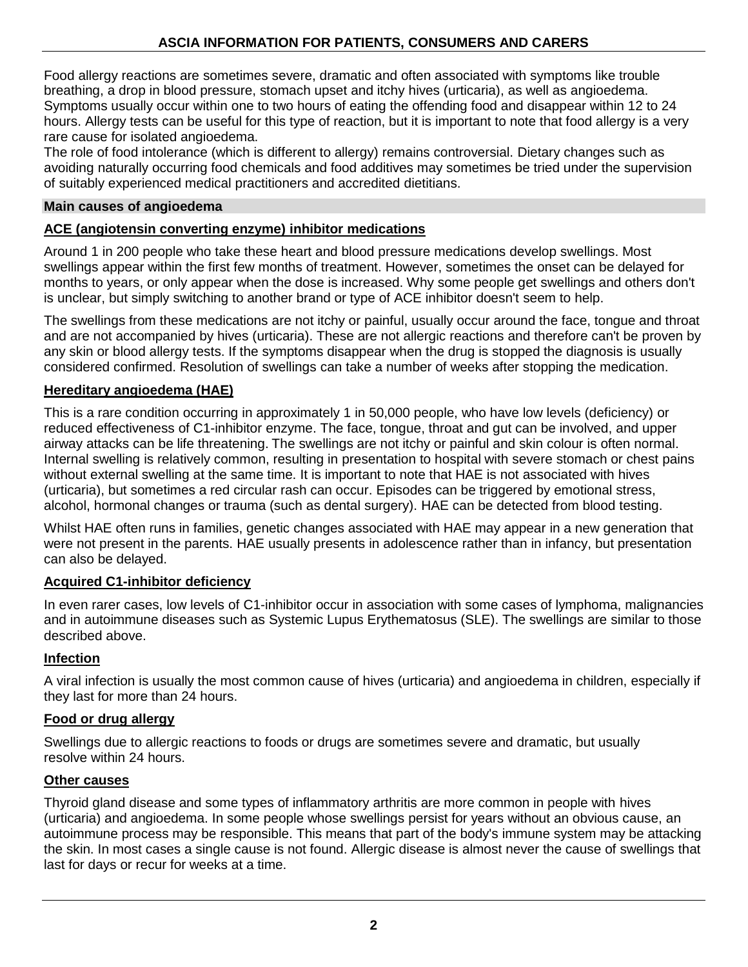# **ASCIA INFORMATION FOR PATIENTS, CONSUMERS AND CARERS**

Food allergy reactions are sometimes severe, dramatic and often associated with symptoms like trouble breathing, a drop in blood pressure, stomach upset and itchy hives (urticaria), as well as angioedema. Symptoms usually occur within one to two hours of eating the offending food and disappear within 12 to 24 hours. Allergy tests can be useful for this type of reaction, but it is important to note that food allergy is a very rare cause for isolated angioedema.

The role of food intolerance (which is different to allergy) remains controversial. Dietary changes such as avoiding naturally occurring food chemicals and food additives may sometimes be tried under the supervision of suitably experienced medical practitioners and accredited dietitians.

#### **Main causes of angioedema**

# **ACE (angiotensin converting enzyme) inhibitor medications**

Around 1 in 200 people who take these heart and blood pressure medications develop swellings. Most swellings appear within the first few months of treatment. However, sometimes the onset can be delayed for months to years, or only appear when the dose is increased. Why some people get swellings and others don't is unclear, but simply switching to another brand or type of ACE inhibitor doesn't seem to help.

The swellings from these medications are not itchy or painful, usually occur around the face, tongue and throat and are not accompanied by hives (urticaria). These are not allergic reactions and therefore can't be proven by any skin or blood allergy tests. If the symptoms disappear when the drug is stopped the diagnosis is usually considered confirmed. Resolution of swellings can take a number of weeks after stopping the medication.

# **Hereditary angioedema (HAE)**

This is a rare condition occurring in approximately 1 in 50,000 people, who have low levels (deficiency) or reduced effectiveness of C1-inhibitor enzyme. The face, tongue, throat and gut can be involved, and upper airway attacks can be life threatening. The swellings are not itchy or painful and skin colour is often normal. Internal swelling is relatively common, resulting in presentation to hospital with severe stomach or chest pains without external swelling at the same time. It is important to note that HAE is not associated with hives (urticaria), but sometimes a red circular rash can occur. Episodes can be triggered by emotional stress, alcohol, hormonal changes or trauma (such as dental surgery). HAE can be detected from blood testing.

Whilst HAE often runs in families, genetic changes associated with HAE may appear in a new generation that were not present in the parents. HAE usually presents in adolescence rather than in infancy, but presentation can also be delayed.

# **Acquired C1-inhibitor deficiency**

In even rarer cases, low levels of C1-inhibitor occur in association with some cases of lymphoma, malignancies and in autoimmune diseases such as Systemic Lupus Erythematosus (SLE). The swellings are similar to those described above.

#### **Infection**

A viral infection is usually the most common cause of hives (urticaria) and angioedema in children, especially if they last for more than 24 hours.

# **Food or drug allergy**

Swellings due to allergic reactions to foods or drugs are sometimes severe and dramatic, but usually resolve within 24 hours.

#### **Other causes**

Thyroid gland disease and some types of inflammatory arthritis are more common in people with hives (urticaria) and angioedema. In some people whose swellings persist for years without an obvious cause, an autoimmune process may be responsible. This means that part of the body's immune system may be attacking the skin. In most cases a single cause is not found. Allergic disease is almost never the cause of swellings that last for days or recur for weeks at a time.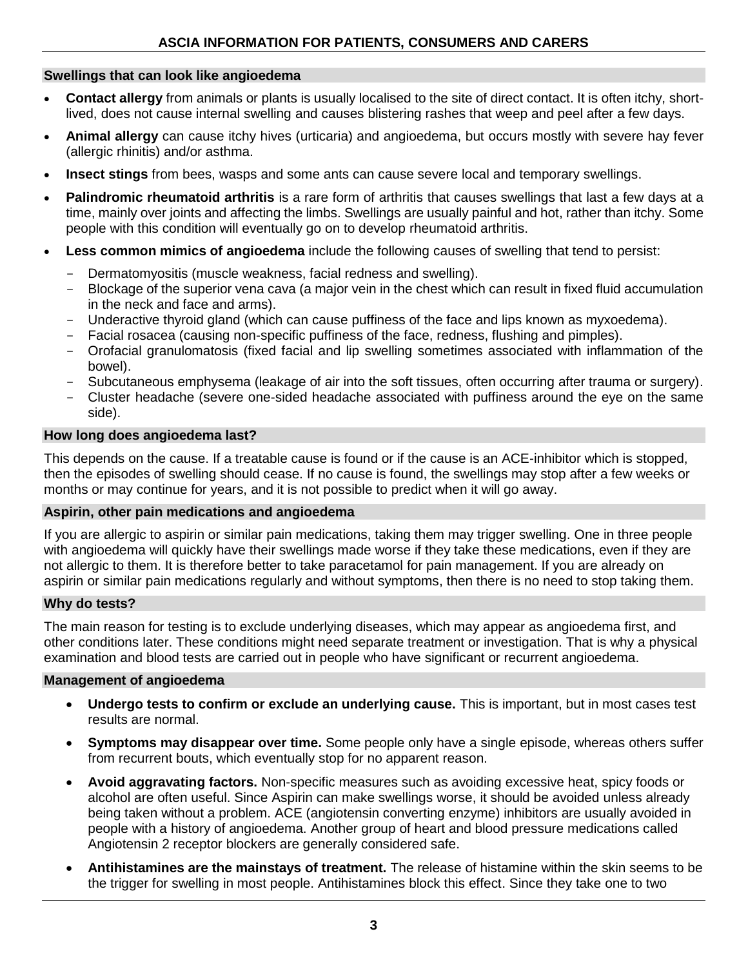# **Swellings that can look like angioedema**

- **Contact allergy** from animals or plants is usually localised to the site of direct contact. It is often itchy, shortlived, does not cause internal swelling and causes blistering rashes that weep and peel after a few days.
- **Animal allergy** can cause itchy hives (urticaria) and angioedema, but occurs mostly with severe hay fever (allergic rhinitis) and/or asthma.
- **Insect stings** from bees, wasps and some ants can cause severe local and temporary swellings.
- **Palindromic rheumatoid arthritis** is a rare form of arthritis that causes swellings that last a few days at a time, mainly over joints and affecting the limbs. Swellings are usually painful and hot, rather than itchy. Some people with this condition will eventually go on to develop rheumatoid arthritis.
- Less common mimics of angioedema include the following causes of swelling that tend to persist:
	- Dermatomyositis (muscle weakness, facial redness and swelling).
	- Blockage of the superior vena cava (a major vein in the chest which can result in fixed fluid accumulation in the neck and face and arms).
	- Underactive thyroid gland (which can cause puffiness of the face and lips known as myxoedema).
	- Facial rosacea (causing non-specific puffiness of the face, redness, flushing and pimples).
	- Orofacial granulomatosis (fixed facial and lip swelling sometimes associated with inflammation of the bowel).
	- Subcutaneous emphysema (leakage of air into the soft tissues, often occurring after trauma or surgery).
	- Cluster headache (severe one-sided headache associated with puffiness around the eye on the same side).

# **How long does angioedema last?**

This depends on the cause. If a treatable cause is found or if the cause is an ACE-inhibitor which is stopped, then the episodes of swelling should cease. If no cause is found, the swellings may stop after a few weeks or months or may continue for years, and it is not possible to predict when it will go away.

# **Aspirin, other pain medications and angioedema**

If you are allergic to aspirin or similar pain medications, taking them may trigger swelling. One in three people with angioedema will quickly have their swellings made worse if they take these medications, even if they are not allergic to them. It is therefore better to take paracetamol for pain management. If you are already on aspirin or similar pain medications regularly and without symptoms, then there is no need to stop taking them.

#### **Why do tests?**

The main reason for testing is to exclude underlying diseases, which may appear as angioedema first, and other conditions later. These conditions might need separate treatment or investigation. That is why a physical examination and blood tests are carried out in people who have significant or recurrent angioedema.

# **Management of angioedema**

- **Undergo tests to confirm or exclude an underlying cause.** This is important, but in most cases test results are normal.
- **Symptoms may disappear over time.** Some people only have a single episode, whereas others suffer from recurrent bouts, which eventually stop for no apparent reason.
- **Avoid aggravating factors.** Non-specific measures such as avoiding excessive heat, spicy foods or alcohol are often useful. Since Aspirin can make swellings worse, it should be avoided unless already being taken without a problem. ACE (angiotensin converting enzyme) inhibitors are usually avoided in people with a history of angioedema. Another group of heart and blood pressure medications called Angiotensin 2 receptor blockers are generally considered safe.
- **Antihistamines are the mainstays of treatment.** The release of histamine within the skin seems to be the trigger for swelling in most people. Antihistamines block this effect. Since they take one to two